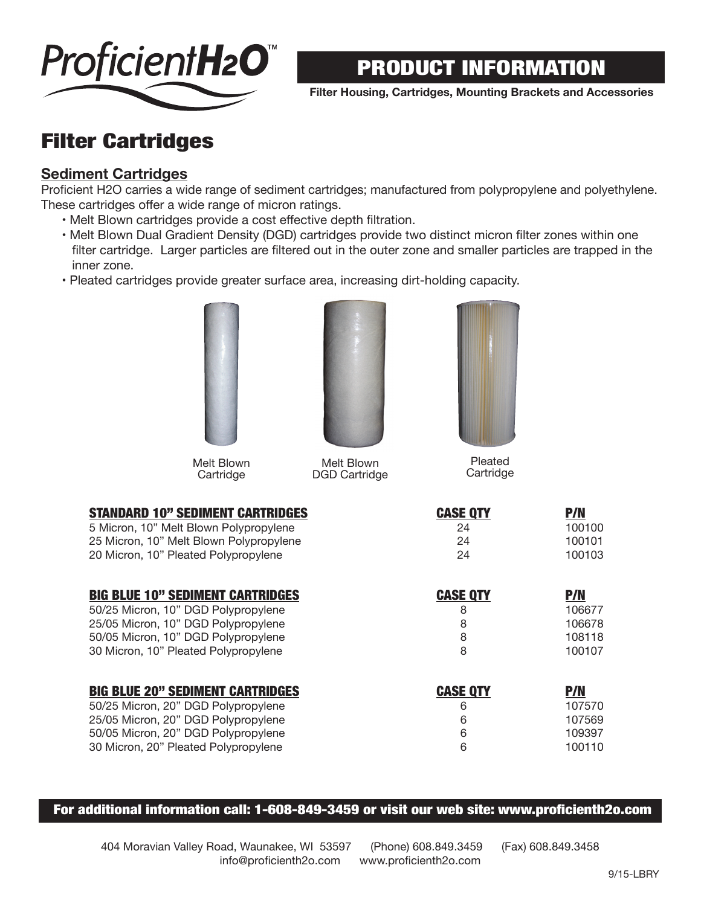

**Filter Housing, Cartridges, Mounting Brackets and Accessories**

## Filter Cartridges

### **Sediment Cartridges**

Proficient H2O carries a wide range of sediment cartridges; manufactured from polypropylene and polyethylene. These cartridges offer a wide range of micron ratings.

- Melt Blown cartridges provide a cost effective depth filtration.
- Melt Blown Dual Gradient Density (DGD) cartridges provide two distinct micron filter zones within one filter cartridge. Larger particles are filtered out in the outer zone and smaller particles are trapped in the inner zone.
- Pleated cartridges provide greater surface area, increasing dirt-holding capacity.



Melt Blown **Cartridge** 



Melt Blown DGD Cartridge



Pleated **Cartridge** 

| <b>STANDARD 10" SEDIMENT CARTRIDGES</b> | <b>CASE QTY</b> | <b>P/N</b> |
|-----------------------------------------|-----------------|------------|
| 5 Micron, 10" Melt Blown Polypropylene  | 24              | 100100     |
| 25 Micron, 10" Melt Blown Polypropylene | 24              | 100101     |
| 20 Micron, 10" Pleated Polypropylene    | 24              | 100103     |
| <b>BIG BLUE 10" SEDIMENT CARTRIDGES</b> | <b>CASE QTY</b> | <b>P/N</b> |
| 50/25 Micron, 10" DGD Polypropylene     | 8               | 106677     |
| 25/05 Micron, 10" DGD Polypropylene     | 8               | 106678     |
| 50/05 Micron, 10" DGD Polypropylene     | 8               | 108118     |
| 30 Micron, 10" Pleated Polypropylene    | 8               | 100107     |
| <b>BIG BLUE 20" SEDIMENT CARTRIDGES</b> | <b>CASE QTY</b> | <b>P/N</b> |
| 50/25 Micron, 20" DGD Polypropylene     | 6               | 107570     |
| 25/05 Micron, 20" DGD Polypropylene     | 6               | 107569     |
| 50/05 Micron, 20" DGD Polypropylene     | 6               | 109397     |
| 30 Micron, 20" Pleated Polypropylene    | 6               | 100110     |

For additional information call: 1-608-849-3459 or visit our web site: www.proficienth2o.com

404 Moravian Valley Road, Waunakee, WI 53597 (Phone) 608.849.3459 (Fax) 608.849.3458 info@proficienth2o.com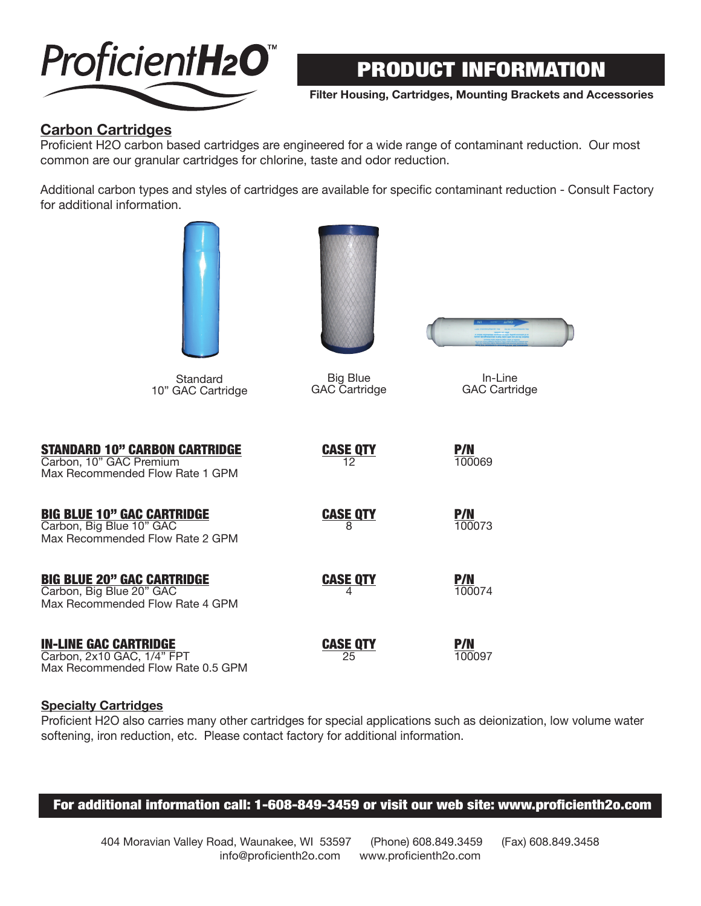

**Filter Housing, Cartridges, Mounting Brackets and Accessories**

### **Carbon Cartridges**

Proficient H2O carbon based cartridges are engineered for a wide range of contaminant reduction. Our most common are our granular cartridges for chlorine, taste and odor reduction.

Additional carbon types and styles of cartridges are available for specific contaminant reduction - Consult Factory for additional information.

| Standard<br>10" GAC Cartridge                                                                      | <b>Big Blue</b><br>GAC Cartridge | In-Line<br><b>GAC Cartridge</b> |
|----------------------------------------------------------------------------------------------------|----------------------------------|---------------------------------|
| <b>STANDARD 10" CARBON CARTRIDGE</b><br>Carbon, 10" GAC Premium<br>Max Recommended Flow Rate 1 GPM | <b>CASE QTY</b><br>12            | <b>P/N</b><br>100069            |
| <b>BIG BLUE 10" GAC CARTRIDGE</b><br>Carbon, Big Blue 10" GAC<br>Max Recommended Flow Rate 2 GPM   | <b>CASE QTY</b><br>8             | <b>P/N</b><br>100073            |
| <b>BIG BLUE 20" GAC CARTRIDGE</b><br>Carbon, Big Blue 20" GAC<br>Max Recommended Flow Rate 4 GPM   | <b>CASE QTY</b><br>4             | <b>P/N</b><br>100074            |
| <b>IN-LINE GAC CARTRIDGE</b><br>Carbon, 2x10 GAC, 1/4" FPT<br>Max Recommended Flow Rate 0.5 GPM    | <b>CASE QTY</b><br>25            | <b>P/N</b><br>100097            |

#### **Specialty Cartridges**

Proficient H2O also carries many other cartridges for special applications such as deionization, low volume water softening, iron reduction, etc. Please contact factory for additional information.

#### For additional information call: 1-608-849-3459 or visit our web site: www.proficienth2o.com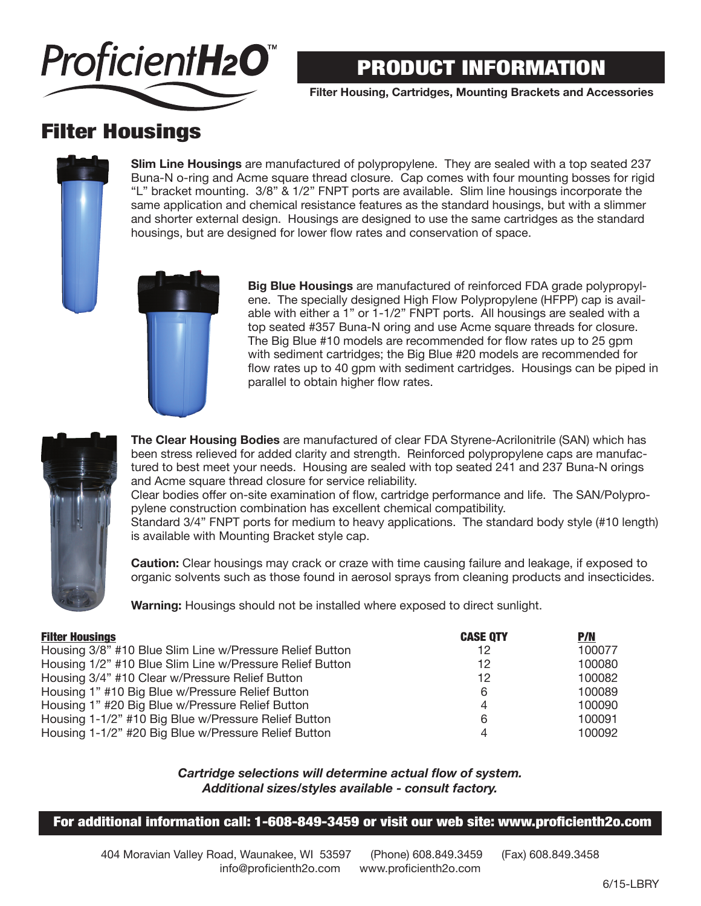

**Filter Housing, Cartridges, Mounting Brackets and Accessories**

## Filter Housings

**Slim Line Housings** are manufactured of polypropylene. They are sealed with a top seated 237 Buna-N o-ring and Acme square thread closure. Cap comes with four mounting bosses for rigid "L" bracket mounting. 3/8" & 1/2" FNPT ports are available. Slim line housings incorporate the same application and chemical resistance features as the standard housings, but with a slimmer and shorter external design. Housings are designed to use the same cartridges as the standard housings, but are designed for lower flow rates and conservation of space.



**Big Blue Housings** are manufactured of reinforced FDA grade polypropylene. The specially designed High Flow Polypropylene (HFPP) cap is available with either a 1" or 1-1/2" FNPT ports. All housings are sealed with a top seated #357 Buna-N oring and use Acme square threads for closure. The Big Blue #10 models are recommended for flow rates up to 25 gpm with sediment cartridges; the Big Blue #20 models are recommended for flow rates up to 40 gpm with sediment cartridges. Housings can be piped in parallel to obtain higher flow rates.



**The Clear Housing Bodies** are manufactured of clear FDA Styrene-Acrilonitrile (SAN) which has been stress relieved for added clarity and strength. Reinforced polypropylene caps are manufactured to best meet your needs. Housing are sealed with top seated 241 and 237 Buna-N orings and Acme square thread closure for service reliability.

Clear bodies offer on-site examination of flow, cartridge performance and life. The SAN/Polypropylene construction combination has excellent chemical compatibility.

Standard 3/4" FNPT ports for medium to heavy applications. The standard body style (#10 length) is available with Mounting Bracket style cap.

**Caution:** Clear housings may crack or craze with time causing failure and leakage, if exposed to organic solvents such as those found in aerosol sprays from cleaning products and insecticides.

**Warning:** Housings should not be installed where exposed to direct sunlight.

| <b>Filter Housings</b>                                   | <b>CASE QTY</b> | <b>P/N</b> |
|----------------------------------------------------------|-----------------|------------|
| Housing 3/8" #10 Blue Slim Line w/Pressure Relief Button | 12              | 100077     |
| Housing 1/2" #10 Blue Slim Line w/Pressure Relief Button | 12              | 100080     |
| Housing 3/4" #10 Clear w/Pressure Relief Button          | 12              | 100082     |
| Housing 1" #10 Big Blue w/Pressure Relief Button         | 6               | 100089     |
| Housing 1" #20 Big Blue w/Pressure Relief Button         | 4               | 100090     |
| Housing 1-1/2" #10 Big Blue w/Pressure Relief Button     | 6               | 100091     |
| Housing 1-1/2" #20 Big Blue w/Pressure Relief Button     |                 | 100092     |

#### *Cartridge selections will determine actual flow of system. Additional sizes/styles available - consult factory.*

#### For additional information call: 1-608-849-3459 or visit our web site: www.proficienth2o.com

404 Moravian Valley Road, Waunakee, WI 53597 (Phone) 608.849.3459 (Fax) 608.849.3458 info@proficienth2o.com www.proficienth2o.com